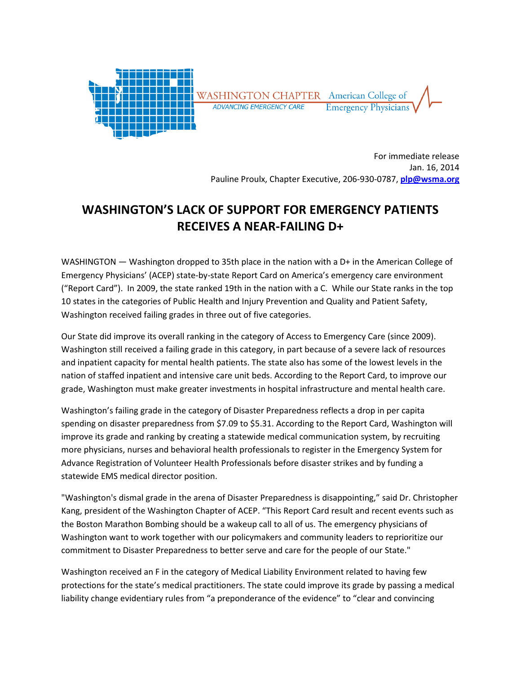

For immediate release Jan. 16, 2014 Pauline Proulx, Chapter Executive, 206-930-0787, plp@wsma.org

## WASHINGTON'S LACK OF SUPPORT FOR EMERGENCY PATIENTS RECEIVES A NEAR-FAILING D+

WASHINGTON — Washington dropped to 35th place in the nation with a D+ in the American College of Emergency Physicians' (ACEP) state-by-state Report Card on America's emergency care environment ("Report Card"). In 2009, the state ranked 19th in the nation with a C. While our State ranks in the top 10 states in the categories of Public Health and Injury Prevention and Quality and Patient Safety, Washington received failing grades in three out of five categories.

Our State did improve its overall ranking in the category of Access to Emergency Care (since 2009). Washington still received a failing grade in this category, in part because of a severe lack of resources and inpatient capacity for mental health patients. The state also has some of the lowest levels in the nation of staffed inpatient and intensive care unit beds. According to the Report Card, to improve our grade, Washington must make greater investments in hospital infrastructure and mental health care.

Washington's failing grade in the category of Disaster Preparedness reflects a drop in per capita spending on disaster preparedness from \$7.09 to \$5.31. According to the Report Card, Washington will improve its grade and ranking by creating a statewide medical communication system, by recruiting more physicians, nurses and behavioral health professionals to register in the Emergency System for Advance Registration of Volunteer Health Professionals before disaster strikes and by funding a statewide EMS medical director position.

"Washington's dismal grade in the arena of Disaster Preparedness is disappointing," said Dr. Christopher Kang, president of the Washington Chapter of ACEP. "This Report Card result and recent events such as the Boston Marathon Bombing should be a wakeup call to all of us. The emergency physicians of Washington want to work together with our policymakers and community leaders to reprioritize our commitment to Disaster Preparedness to better serve and care for the people of our State."

Washington received an F in the category of Medical Liability Environment related to having few protections for the state's medical practitioners. The state could improve its grade by passing a medical liability change evidentiary rules from "a preponderance of the evidence" to "clear and convincing